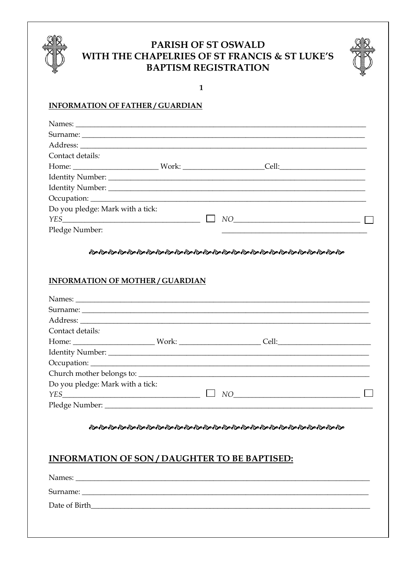

# PARISH OF ST OSWALD WITH THE CHAPELRIES OF ST FRANCIS & ST LUKE'S **BAPTISM REGISTRATION**



 $\mathbf{1}$ 

### **INFORMATION OF FATHER / GUARDIAN**

| Contact details:                 |  |      |  |
|----------------------------------|--|------|--|
|                                  |  |      |  |
|                                  |  |      |  |
|                                  |  |      |  |
|                                  |  |      |  |
| Do you pledge: Mark with a tick: |  |      |  |
|                                  |  | $NO$ |  |
| Pledge Number:                   |  |      |  |

#### ֍֍֍֍֍֍֍֍֍֍֍֍֍֍֍֍֍֍֍֍֍֍֍֍֍֍֍֍֍֍֍֍

#### **INFORMATION OF MOTHER / GUARDIAN**

| Contact details:                 |  |                                                                                                                                                                                                                                                                                                                                                                                             |  |
|----------------------------------|--|---------------------------------------------------------------------------------------------------------------------------------------------------------------------------------------------------------------------------------------------------------------------------------------------------------------------------------------------------------------------------------------------|--|
|                                  |  |                                                                                                                                                                                                                                                                                                                                                                                             |  |
|                                  |  |                                                                                                                                                                                                                                                                                                                                                                                             |  |
|                                  |  |                                                                                                                                                                                                                                                                                                                                                                                             |  |
| Church mother belongs to:        |  |                                                                                                                                                                                                                                                                                                                                                                                             |  |
| Do you pledge: Mark with a tick: |  |                                                                                                                                                                                                                                                                                                                                                                                             |  |
|                                  |  | $\begin{picture}(150,10) \put(0,0){\dashbox{0.5}(10,0){ }} \put(15,0){\circle{10}} \put(15,0){\circle{10}} \put(15,0){\circle{10}} \put(15,0){\circle{10}} \put(15,0){\circle{10}} \put(15,0){\circle{10}} \put(15,0){\circle{10}} \put(15,0){\circle{10}} \put(15,0){\circle{10}} \put(15,0){\circle{10}} \put(15,0){\circle{10}} \put(15,0){\circle{10}} \put(15,0){\circle{10}} \put(15$ |  |
|                                  |  |                                                                                                                                                                                                                                                                                                                                                                                             |  |

#### තිතිතිතිතිතිත් කිරීමක් කිරීමක් කිරීමක් කිරීමක් කිරීමක් කිරීමක් කිරීමක් කිරීමක් කිරීමක් කිරීමක් කිරීමක් කිරීමක් *ක*

## **INFORMATION OF SON / DAUGHTER TO BE BAPTISED:**

| Names:        |
|---------------|
|               |
| Date of Birth |
|               |